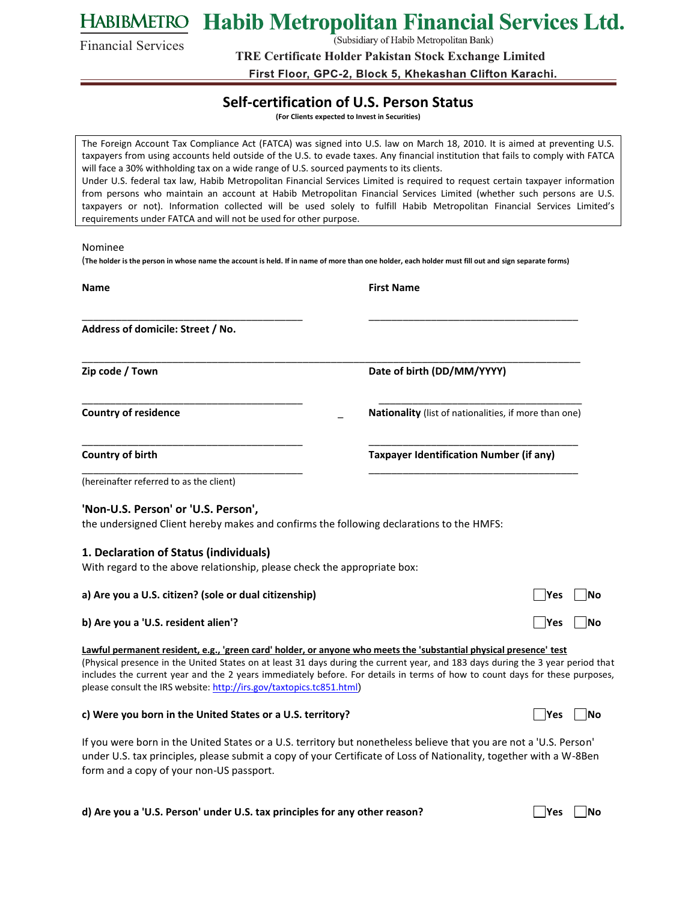**Habib Metropolitan Financial Services Ltd.** HABIBMETRO

Financial Services

(Subsidiary of Habib Metropolitan Bank)

**TRE Certificate Holder Pakistan Stock Exchange Limited**

First Floor, GPC-2, Block 5, Khekashan Clifton Karachi.

## **Self-certification of U.S. Person Status**

**(For Clients expected to Invest in Securities)** 

The Foreign Account Tax Compliance Act (FATCA) was signed into U.S. law on March 18, 2010. It is aimed at preventing U.S. taxpayers from using accounts held outside of the U.S. to evade taxes. Any financial institution that fails to comply with FATCA will face a 30% withholding tax on a wide range of U.S. sourced payments to its clients. Under U.S. federal tax law, Habib Metropolitan Financial Services Limited is required to request certain taxpayer information from persons who maintain an account at Habib Metropolitan Financial Services Limited (whether such persons are U.S. taxpayers or not). Information collected will be used solely to fulfill Habib Metropolitan Financial Services Limited's requirements under FATCA and will not be used for other purpose.

#### Nominee

(**The holder is the person in whose name the account is held. If in name of more than one holder, each holder must fill out and sign separate forms)** 

| <b>Name</b>                                                                                                        | <b>First Name</b>                                                                                                                                                                                                                                              |  |  |
|--------------------------------------------------------------------------------------------------------------------|----------------------------------------------------------------------------------------------------------------------------------------------------------------------------------------------------------------------------------------------------------------|--|--|
| Address of domicile: Street / No.                                                                                  |                                                                                                                                                                                                                                                                |  |  |
| Zip code / Town                                                                                                    | Date of birth (DD/MM/YYYY)                                                                                                                                                                                                                                     |  |  |
| <b>Country of residence</b>                                                                                        | Nationality (list of nationalities, if more than one)                                                                                                                                                                                                          |  |  |
| <b>Country of birth</b>                                                                                            | <b>Taxpayer Identification Number (if any)</b>                                                                                                                                                                                                                 |  |  |
| (hereinafter referred to as the client)                                                                            |                                                                                                                                                                                                                                                                |  |  |
| 'Non-U.S. Person' or 'U.S. Person',                                                                                |                                                                                                                                                                                                                                                                |  |  |
| the undersigned Client hereby makes and confirms the following declarations to the HMFS:                           |                                                                                                                                                                                                                                                                |  |  |
| 1. Declaration of Status (individuals)                                                                             |                                                                                                                                                                                                                                                                |  |  |
| With regard to the above relationship, please check the appropriate box:                                           |                                                                                                                                                                                                                                                                |  |  |
| a) Are you a U.S. citizen? (sole or dual citizenship)                                                              | <b>PYes</b><br>lNo                                                                                                                                                                                                                                             |  |  |
| b) Are you a 'U.S. resident alien'?                                                                                | <b>Yes</b><br><b>No</b>                                                                                                                                                                                                                                        |  |  |
| Lawful permanent resident, e.g., 'green card' holder, or anyone who meets the 'substantial physical presence' test | (Physical presence in the United States on at least 31 days during the current year, and 183 days during the 3 year period that<br>includes the current year and the 2 years immediately before. For details in terms of how to count days for these purposes, |  |  |

please consult the IRS website:<http://irs.gov/taxtopics.tc851.html>)

#### **c) Were you born in the United States or a U.S. territory?**

If you were born in the United States or a U.S. territory but nonetheless believe that you are not a 'U.S. Person' under U.S. tax principles, please submit a copy of your Certificate of Loss of Nationality, together with a W-8Ben form and a copy of your non-US passport.

**d)** Are you a 'U.S. Person' under U.S. tax principles for any other reason?  $\Box$  Yes  $\Box$  No

|  |  |  | N٥ |
|--|--|--|----|
|--|--|--|----|